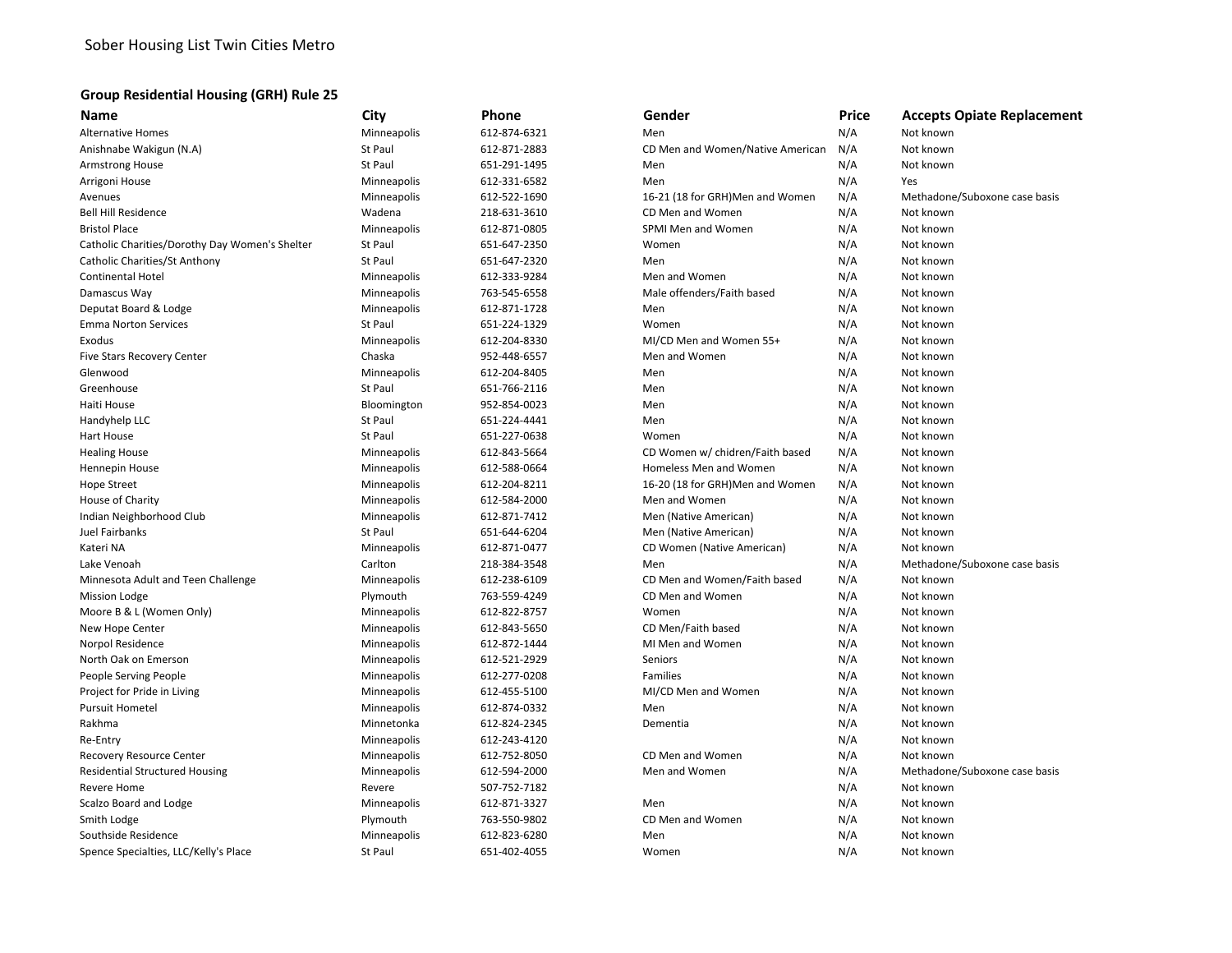## **Group Residential Housing (GRH) Rule 25**

| <b>Name</b>                                    | City           | Phone        | Gender                           | Price | <b>Accepts Opiate Replacement</b> |
|------------------------------------------------|----------------|--------------|----------------------------------|-------|-----------------------------------|
| <b>Alternative Homes</b>                       | Minneapolis    | 612-874-6321 | Men                              | N/A   | Not known                         |
| Anishnabe Wakigun (N.A)                        | St Paul        | 612-871-2883 | CD Men and Women/Native American | N/A   | Not known                         |
| <b>Armstrong House</b>                         | <b>St Paul</b> | 651-291-1495 | Men                              | N/A   | Not known                         |
| Arrigoni House                                 | Minneapolis    | 612-331-6582 | Men                              | N/A   | Yes                               |
| Avenues                                        | Minneapolis    | 612-522-1690 | 16-21 (18 for GRH)Men and Women  | N/A   | Methadone/Suboxone case basis     |
| <b>Bell Hill Residence</b>                     | Wadena         | 218-631-3610 | CD Men and Women                 | N/A   | Not known                         |
| <b>Bristol Place</b>                           | Minneapolis    | 612-871-0805 | SPMI Men and Women               | N/A   | Not known                         |
| Catholic Charities/Dorothy Day Women's Shelter | <b>St Paul</b> | 651-647-2350 | Women                            | N/A   | Not known                         |
| Catholic Charities/St Anthony                  | St Paul        | 651-647-2320 | Men                              | N/A   | Not known                         |
| <b>Continental Hotel</b>                       | Minneapolis    | 612-333-9284 | Men and Women                    | N/A   | Not known                         |
| Damascus Way                                   | Minneapolis    | 763-545-6558 | Male offenders/Faith based       | N/A   | Not known                         |
| Deputat Board & Lodge                          | Minneapolis    | 612-871-1728 | Men                              | N/A   | Not known                         |
| <b>Emma Norton Services</b>                    | St Paul        | 651-224-1329 | Women                            | N/A   | Not known                         |
| Exodus                                         | Minneapolis    | 612-204-8330 | MI/CD Men and Women 55+          | N/A   | Not known                         |
| Five Stars Recovery Center                     | Chaska         | 952-448-6557 | Men and Women                    | N/A   | Not known                         |
| Glenwood                                       | Minneapolis    | 612-204-8405 | Men                              | N/A   | Not known                         |
| Greenhouse                                     | St Paul        | 651-766-2116 | Men                              | N/A   | Not known                         |
| Haiti House                                    | Bloomington    | 952-854-0023 | Men                              | N/A   | Not known                         |
| Handyhelp LLC                                  | St Paul        | 651-224-4441 | Men                              | N/A   | Not known                         |
| <b>Hart House</b>                              | St Paul        | 651-227-0638 | Women                            | N/A   | Not known                         |
| <b>Healing House</b>                           | Minneapolis    | 612-843-5664 | CD Women w/ chidren/Faith based  | N/A   | Not known                         |
| Hennepin House                                 | Minneapolis    | 612-588-0664 | Homeless Men and Women           | N/A   | Not known                         |
| <b>Hope Street</b>                             | Minneapolis    | 612-204-8211 | 16-20 (18 for GRH)Men and Women  | N/A   | Not known                         |
| House of Charity                               | Minneapolis    | 612-584-2000 | Men and Women                    | N/A   | Not known                         |
| Indian Neighborhood Club                       | Minneapolis    | 612-871-7412 | Men (Native American)            | N/A   | Not known                         |
| Juel Fairbanks                                 | St Paul        | 651-644-6204 | Men (Native American)            | N/A   | Not known                         |
| Kateri NA                                      | Minneapolis    | 612-871-0477 | CD Women (Native American)       | N/A   | Not known                         |
| Lake Venoah                                    | Carlton        | 218-384-3548 | Men                              | N/A   | Methadone/Suboxone case basis     |
| Minnesota Adult and Teen Challenge             | Minneapolis    | 612-238-6109 | CD Men and Women/Faith based     | N/A   | Not known                         |
| <b>Mission Lodge</b>                           | Plymouth       | 763-559-4249 | CD Men and Women                 | N/A   | Not known                         |
| Moore B & L (Women Only)                       | Minneapolis    | 612-822-8757 | Women                            | N/A   | Not known                         |
| New Hope Center                                | Minneapolis    | 612-843-5650 | CD Men/Faith based               | N/A   | Not known                         |
| <b>Norpol Residence</b>                        | Minneapolis    | 612-872-1444 | MI Men and Women                 | N/A   | Not known                         |
| North Oak on Emerson                           | Minneapolis    | 612-521-2929 | Seniors                          | N/A   | Not known                         |
| People Serving People                          | Minneapolis    | 612-277-0208 | Families                         | N/A   | Not known                         |
| Project for Pride in Living                    | Minneapolis    | 612-455-5100 | MI/CD Men and Women              | N/A   | Not known                         |
| <b>Pursuit Hometel</b>                         | Minneapolis    | 612-874-0332 | Men                              | N/A   | Not known                         |
| Rakhma                                         | Minnetonka     | 612-824-2345 | Dementia                         | N/A   | Not known                         |
| Re-Entry                                       | Minneapolis    | 612-243-4120 |                                  | N/A   | Not known                         |
| <b>Recovery Resource Center</b>                | Minneapolis    | 612-752-8050 | CD Men and Women                 | N/A   | Not known                         |
| <b>Residential Structured Housing</b>          | Minneapolis    | 612-594-2000 | Men and Women                    | N/A   | Methadone/Suboxone case basis     |
| <b>Revere Home</b>                             | Revere         | 507-752-7182 |                                  | N/A   | Not known                         |
| Scalzo Board and Lodge                         | Minneapolis    | 612-871-3327 | Men                              | N/A   | Not known                         |
| Smith Lodge                                    | Plymouth       | 763-550-9802 | CD Men and Women                 | N/A   | Not known                         |
| Southside Residence                            | Minneapolis    | 612-823-6280 | Men                              | N/A   | Not known                         |
| Spence Specialties, LLC/Kelly's Place          | St Paul        | 651-402-4055 | Women                            | N/A   | Not known                         |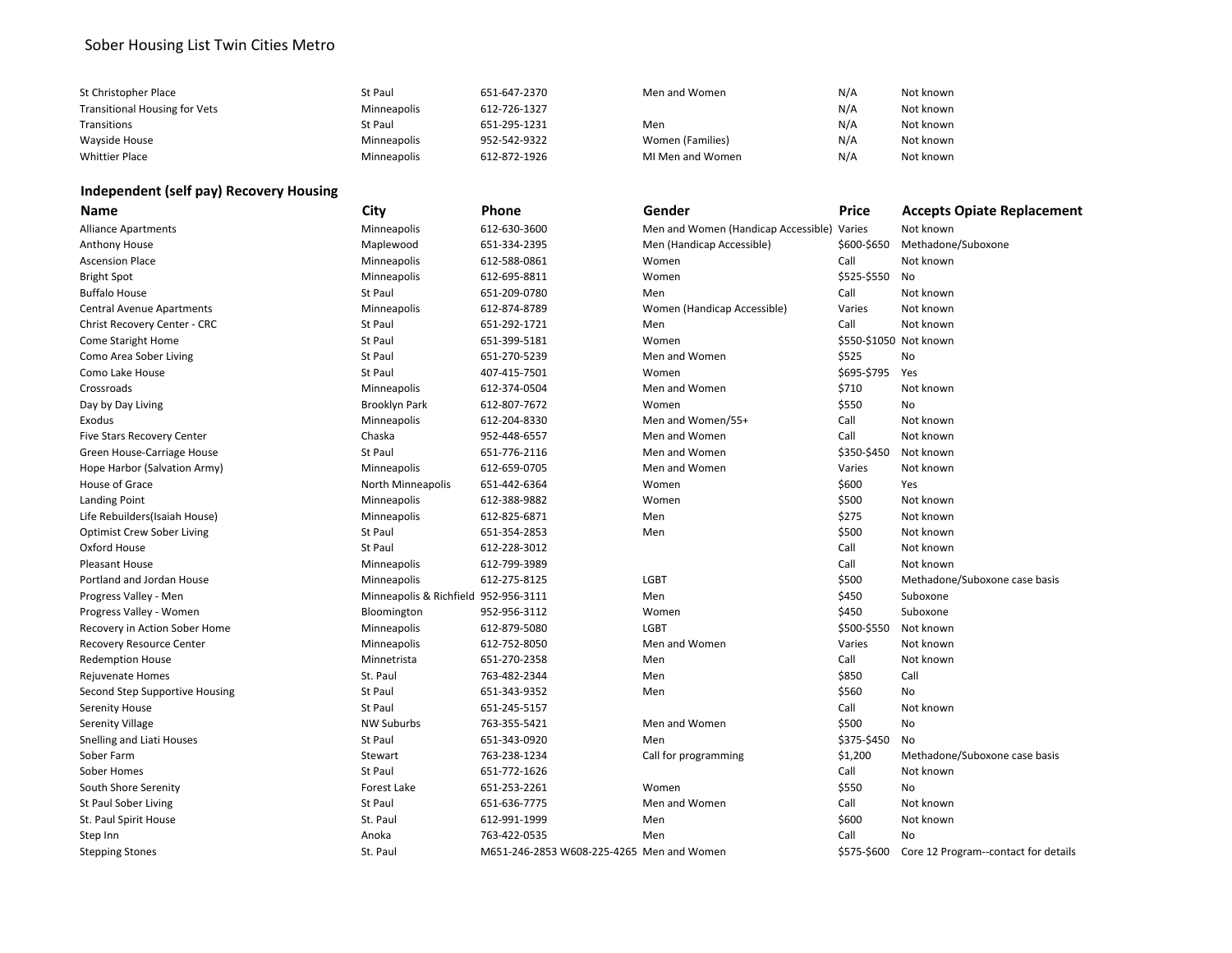# Sober Housing List Twin Cities Metro

| St Christopher Place                 | St Paul            | 651-647-2370 | Men and Women    | N/A | Not known |
|--------------------------------------|--------------------|--------------|------------------|-----|-----------|
| <b>Transitional Housing for Vets</b> | <b>Minneapolis</b> | 612-726-1327 |                  | N/A | Not known |
| Transitions                          | St Paul            | 651-295-1231 | Men              | N/A | Not known |
| Wayside House                        | <b>Minneapolis</b> | 952-542-9322 | Women (Families) | N/A | Not known |
| <b>Whittier Place</b>                | <b>Minneapolis</b> | 612-872-1926 | MI Men and Women | N/A | Not known |

# **Independent (self pay) Recovery Housing**

| <b>Name</b>                       | City                                 | Phone                                     | Gender                              | Price                  | <b>Accepts Opiate Replacement</b>    |
|-----------------------------------|--------------------------------------|-------------------------------------------|-------------------------------------|------------------------|--------------------------------------|
| <b>Alliance Apartments</b>        | Minneapolis                          | 612-630-3600                              | Men and Women (Handicap Accessible) | Varies                 | Not known                            |
| Anthony House                     | Maplewood                            | 651-334-2395                              | Men (Handicap Accessible)           | \$600-\$650            | Methadone/Suboxone                   |
| <b>Ascension Place</b>            | Minneapolis                          | 612-588-0861                              | Women                               | Call                   | Not known                            |
| <b>Bright Spot</b>                | Minneapolis                          | 612-695-8811                              | Women                               | \$525-\$550            | No                                   |
| <b>Buffalo House</b>              | St Paul                              | 651-209-0780                              | Men                                 | Call                   | Not known                            |
| <b>Central Avenue Apartments</b>  | Minneapolis                          | 612-874-8789                              | Women (Handicap Accessible)         | Varies                 | Not known                            |
| Christ Recovery Center - CRC      | <b>St Paul</b>                       | 651-292-1721                              | Men                                 | Call                   | Not known                            |
| <b>Come Staright Home</b>         | <b>St Paul</b>                       | 651-399-5181                              | Women                               | \$550-\$1050 Not known |                                      |
| Como Area Sober Living            | St Paul                              | 651-270-5239                              | Men and Women                       | \$525                  | No                                   |
| Como Lake House                   | St Paul                              | 407-415-7501                              | Women                               | \$695-\$795            | Yes                                  |
| Crossroads                        | Minneapolis                          | 612-374-0504                              | Men and Women                       | \$710                  | Not known                            |
| Day by Day Living                 | <b>Brooklyn Park</b>                 | 612-807-7672                              | Women                               | \$550                  | No                                   |
| Exodus                            | Minneapolis                          | 612-204-8330                              | Men and Women/55+                   | Call                   | Not known                            |
| <b>Five Stars Recovery Center</b> | Chaska                               | 952-448-6557                              | Men and Women                       | Call                   | Not known                            |
| Green House-Carriage House        | St Paul                              | 651-776-2116                              | Men and Women                       | \$350-\$450            | Not known                            |
| Hope Harbor (Salvation Army)      | Minneapolis                          | 612-659-0705                              | Men and Women                       | Varies                 | Not known                            |
| House of Grace                    | North Minneapolis                    | 651-442-6364                              | Women                               | \$600                  | Yes                                  |
| Landing Point                     | Minneapolis                          | 612-388-9882                              | Women                               | \$500                  | Not known                            |
| Life Rebuilders(Isaiah House)     | Minneapolis                          | 612-825-6871                              | Men                                 | \$275                  | Not known                            |
| <b>Optimist Crew Sober Living</b> | St Paul                              | 651-354-2853                              | Men                                 | \$500                  | Not known                            |
| Oxford House                      | St Paul                              | 612-228-3012                              |                                     | Call                   | Not known                            |
| <b>Pleasant House</b>             | Minneapolis                          | 612-799-3989                              |                                     | Call                   | Not known                            |
| Portland and Jordan House         | Minneapolis                          | 612-275-8125                              | <b>LGBT</b>                         | \$500                  | Methadone/Suboxone case basis        |
| Progress Valley - Men             | Minneapolis & Richfield 952-956-3111 |                                           | Men                                 | \$450                  | Suboxone                             |
| Progress Valley - Women           | Bloomington                          | 952-956-3112                              | Women                               | \$450                  | Suboxone                             |
| Recovery in Action Sober Home     | Minneapolis                          | 612-879-5080                              | <b>LGBT</b>                         | \$500-\$550            | Not known                            |
| Recovery Resource Center          | Minneapolis                          | 612-752-8050                              | Men and Women                       | Varies                 | Not known                            |
| <b>Redemption House</b>           | Minnetrista                          | 651-270-2358                              | Men                                 | Call                   | Not known                            |
| Rejuvenate Homes                  | St. Paul                             | 763-482-2344                              | Men                                 | \$850                  | Call                                 |
| Second Step Supportive Housing    | <b>St Paul</b>                       | 651-343-9352                              | Men                                 | \$560                  | <b>No</b>                            |
| <b>Serenity House</b>             | <b>St Paul</b>                       | 651-245-5157                              |                                     | Call                   | Not known                            |
| <b>Serenity Village</b>           | <b>NW Suburbs</b>                    | 763-355-5421                              | Men and Women                       | \$500                  | No                                   |
| Snelling and Liati Houses         | St Paul                              | 651-343-0920                              | Men                                 | \$375-\$450            | No                                   |
| Sober Farm                        | Stewart                              | 763-238-1234                              | Call for programming                | \$1,200                | Methadone/Suboxone case basis        |
| Sober Homes                       | <b>St Paul</b>                       | 651-772-1626                              |                                     | Call                   | Not known                            |
| South Shore Serenity              | Forest Lake                          | 651-253-2261                              | Women                               | \$550                  | <b>No</b>                            |
| St Paul Sober Living              | St Paul                              | 651-636-7775                              | Men and Women                       | Call                   | Not known                            |
| St. Paul Spirit House             | St. Paul                             | 612-991-1999                              | Men                                 | \$600                  | Not known                            |
| Step Inn                          | Anoka                                | 763-422-0535                              | Men                                 | Call                   | No                                   |
| <b>Stepping Stones</b>            | St. Paul                             | M651-246-2853 W608-225-4265 Men and Women |                                     | \$575-\$600            | Core 12 Program--contact for details |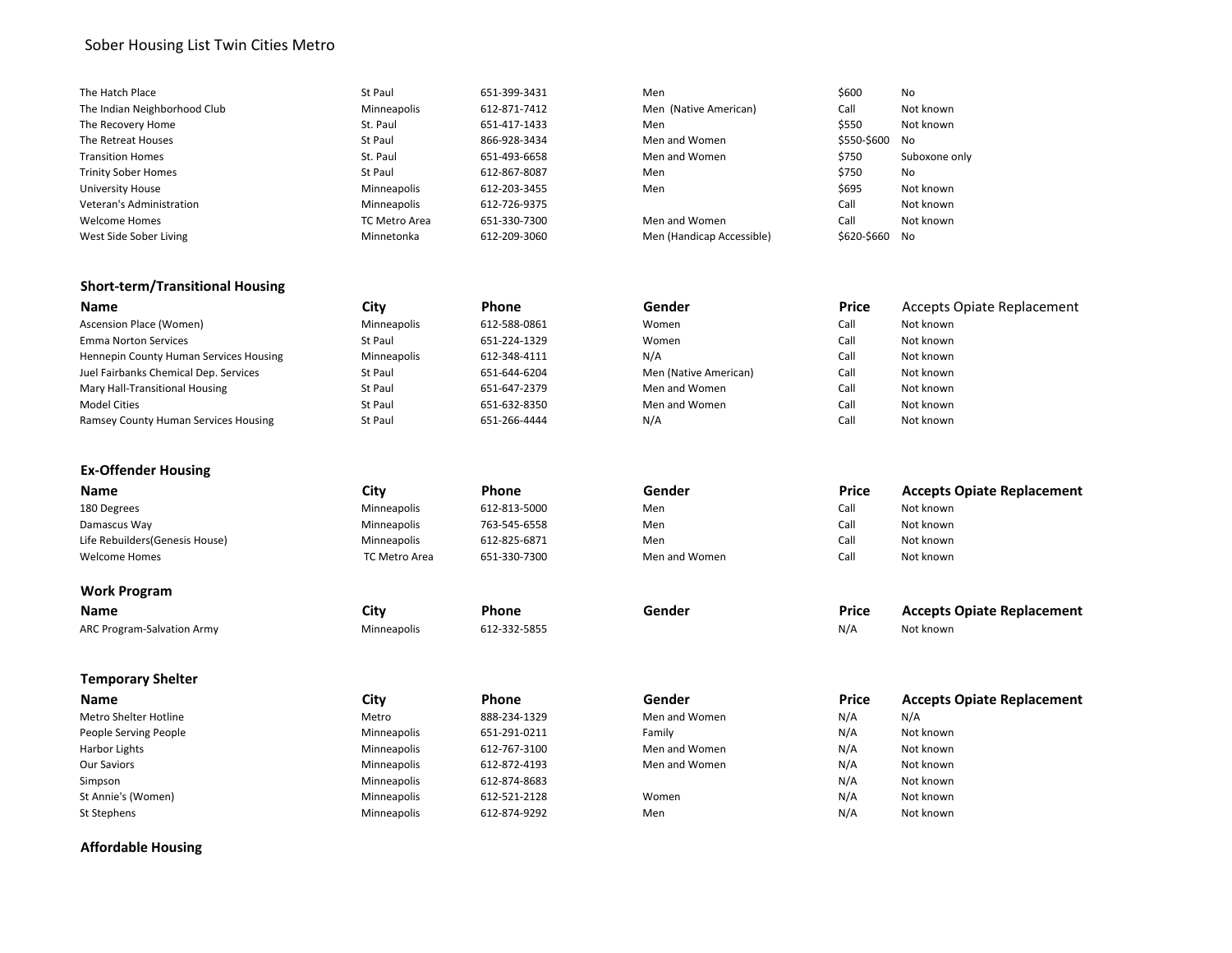## Sober Housing List Twin Cities Metro

| The Hatch Place              | St Paul              | 651-399-3431 | Men                       | \$600       | No            |
|------------------------------|----------------------|--------------|---------------------------|-------------|---------------|
| The Indian Neighborhood Club | Minneapolis          | 612-871-7412 | Men (Native American)     | Call        | Not known     |
| The Recovery Home            | St. Paul             | 651-417-1433 | Men                       | \$550       | Not known     |
| The Retreat Houses           | St Paul              | 866-928-3434 | Men and Women             | \$550-\$600 | No            |
| <b>Transition Homes</b>      | St. Paul             | 651-493-6658 | Men and Women             | \$750       | Suboxone only |
| <b>Trinity Sober Homes</b>   | St Paul              | 612-867-8087 | Men                       | \$750       | No            |
| University House             | Minneapolis          | 612-203-3455 | Men                       | \$695       | Not known     |
| Veteran's Administration     | Minneapolis          | 612-726-9375 |                           | Call        | Not known     |
| <b>Welcome Homes</b>         | <b>TC Metro Area</b> | 651-330-7300 | Men and Women             | Call        | Not known     |
| West Side Sober Living       | Minnetonka           | 612-209-3060 | Men (Handicap Accessible) | \$620-\$660 | No            |

| 1en                       | 5600       |
|---------------------------|------------|
| 1en (Native American)     | Call       |
| 1en                       | \$550      |
| len and Women             | \$550-\$60 |
| len and Women             | \$750      |
| 1en                       | \$750      |
| 1en                       | \$695      |
|                           | Call       |
| len and Women             | Call       |
| len (Handicap Accessible) | \$620-\$66 |
|                           |            |

#### **Short-term/Transitional Housing**

| <b>Name</b>                                 | Citv        | <b>Phone</b> | Gender                | <b>Price</b> | <b>Accepts Opiate Replacement</b> |
|---------------------------------------------|-------------|--------------|-----------------------|--------------|-----------------------------------|
| Ascension Place (Women)                     | Minneapolis | 612-588-0861 | Women                 | Call         | Not known                         |
| <b>Emma Norton Services</b>                 | St Paul     | 651-224-1329 | Women                 | Call         | Not known                         |
| Hennepin County Human Services Housing      | Minneapolis | 612-348-4111 | N/A                   | Call         | Not known                         |
| Juel Fairbanks Chemical Dep. Services       | St Paul     | 651-644-6204 | Men (Native American) | Call         | Not known                         |
| Mary Hall-Transitional Housing              | St Paul     | 651-647-2379 | Men and Women         | Call         | Not known                         |
| <b>Model Cities</b>                         | St Paul     | 651-632-8350 | Men and Women         | Call         | Not known                         |
| <b>Ramsey County Human Services Housing</b> | St Paul     | 651-266-4444 | N/A                   | Call         | Not known                         |

#### **Ex-Offender Housing**

| <b>Name</b>                     | City                 | <b>Phone</b> | Gender        | <b>Price</b> | <b>Accepts Opiate Replacement</b> |
|---------------------------------|----------------------|--------------|---------------|--------------|-----------------------------------|
| 180 Degrees                     | Minneapolis          | 612-813-5000 | Men           | Call         | Not known                         |
| Damascus Way                    | Minneapolis          | 763-545-6558 | Men           | Call         | Not known                         |
| Life Rebuilders (Genesis House) | Minneapolis          | 612-825-6871 | Men           | Call         | Not known                         |
| Welcome Homes                   | <b>TC Metro Area</b> | 651-330-7300 | Men and Women | Call         | Not known                         |
|                                 |                      |              |               |              |                                   |

#### **Work Program**

**Name City City Phone Gender Price Accepts Opiate Replacement** ARC Program-Salvation Army **Minneapolis** 612-332-5855 ARC Program-Salvation Army Not known

#### **Temporary Shelter**

| <b>Name</b>           | City        | <b>Phone</b> | Gender        | <b>Price</b> | <b>Accepts Opiate Replacement</b> |
|-----------------------|-------------|--------------|---------------|--------------|-----------------------------------|
| Metro Shelter Hotline | Metro       | 888-234-1329 | Men and Women | N/A          | N/A                               |
| People Serving People | Minneapolis | 651-291-0211 | Family        | N/A          | Not known                         |
| Harbor Lights         | Minneapolis | 612-767-3100 | Men and Women | N/A          | Not known                         |
| Our Saviors           | Minneapolis | 612-872-4193 | Men and Women | N/A          | Not known                         |
| Simpson               | Minneapolis | 612-874-8683 |               | N/A          | Not known                         |
| St Annie's (Women)    | Minneapolis | 612-521-2128 | Women         | N/A          | Not known                         |
| St Stephens           | Minneapolis | 612-874-9292 | Men           | N/A          | Not known                         |

## **Affordable Housing**